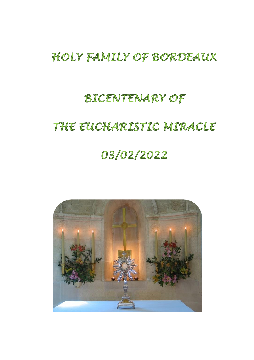# HOLY FAMILY OF BORDEAUX

# **BICENTENARY OF**

# THE EUCHARISTIC MIRACLE

# 03/02/2022

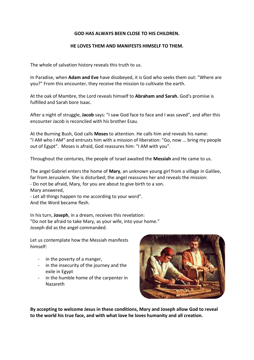#### **GOD HAS ALWAYS BEEN CLOSE TO HIS CHILDREN.**

#### **HE LOVES THEM AND MANIFESTS HIMSELF TO THEM.**

The whole of salvation history reveals this truth to us.

In Paradise, when **Adam and Eve** have disobeyed, it is God who seeks them out: "Where are you?" From this encounter, they receive the mission to cultivate the earth.

At the oak of Mambre, the Lord reveals himself to **Abraham and Sarah.** God's promise is fulfilled and Sarah bore Isaac.

After a night of struggle, **Jacob** says: "I saw God face to face and I was saved", and after this encounter Jacob is reconciled with his brother Esau.

At the Burning Bush, God calls **Moses** to attention. He calls him and reveals his name: "I AM who I AM" and entrusts him with a mission of liberation: "Go, now ... bring my people out of Egypt". Moses is afraid, God reassures him: "I AM with you".

Throughout the centuries, the people of Israel awaited the **Messiah** and He came to us.

The angel Gabriel enters the home of **Mary**, an unknown young girl from a village in Galilee, far from Jerusalem. She is disturbed; the angel reassures her and reveals the mission: - Do not be afraid, Mary, for you are about to give birth to a son. Mary answered,

- Let all things happen to me according to your word". And the Word became flesh.

In his turn, **Joseph**, in a dream, receives this revelation: "Do not be afraid to take Mary, as your wife, into your home." Joseph did as the angel commanded.

Let us contemplate how the Messiah manifests himself:

- in the poverty of a manger,
- in the insecurity of the journey and the exile in Egypt
- in the humble home of the carpenter in Nazareth



**By accepting to welcome Jesus in these conditions, Mary and Joseph allow God to reveal to the world his true face, and with what love he loves humanity and all creation.**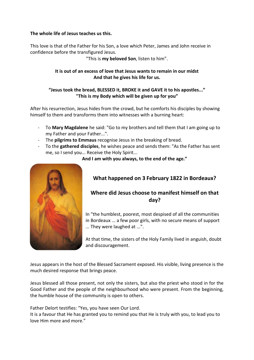## **The whole life of Jesus teaches us this.**

This love is that of the Father for his Son, a love which Peter, James and John receive in confidence before the transfigured Jesus.

"This is **my beloved Son**, listen to him".

# **It is out of an excess of love that Jesus wants to remain in our midst And that he gives his life for us.**

# **"Jesus took the bread, BLESSED it, BROKE it and GAVE it to his apostles..." "This is my Body which will be given up for you"**

After his resurrection, Jesus hides from the crowd, but he comforts his disciples by showing himself to them and transforms them into witnesses with a burning heart:

- To **Mary Magdalene** he said: "Go to my brothers and tell them that I am going up to my Father and your Father...".
- The **pilgrims to Emmaus** recognise Jesus in the breaking of bread.
- To the **gathered disciples**, he wishes peace and sends them: "As the Father has sent me, so I send you... Receive the Holy Spirit...

**And I am with you always, to the end of the age."**



# **What happened on 3 February 1822 in Bordeaux?**

# **Where did Jesus choose to manifest himself on that day?**

In "the humblest, poorest, most despised of all the communities in Bordeaux ... a few poor girls, with no secure means of support ... They were laughed at ...".

At that time, the sisters of the Holy Family lived in anguish, doubt and discouragement.

Jesus appears in the host of the Blessed Sacrament exposed. His visible, living presence is the much desired response that brings peace.

Jesus blessed all those present, not only the sisters, but also the priest who stood in for the Good Father and the people of the neighbourhood who were present. From the beginning, the humble house of the community is open to others.

Father Delort testifies: "Yes, you have seen Our Lord.

It is a favour that He has granted you to remind you that He is truly with you, to lead you to love Him more and more."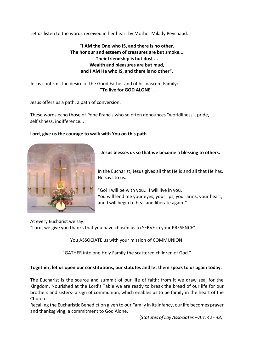Let us listen to the words received in her heart by Mother Milady Peychaud:

**"I AM the One who IS, and there is no other. The honour and esteem of creatures are but smoke... Their friendship is but dust ... Wealth and pleasures are but mud, and I AM He who IS, and there is no other".**

Jesus confirms the desire of the Good Father and of his nascent Family: **"To live for GOD ALONE**".

Jesus offers us a path, a path of conversion:

These words echo those of Pope Francis who so often denounces "worldliness", pride, selfishness, indifference...

## **Lord, give us the courage to walk with You on this path**



## **Jesus blesses us so that we become a blessing to others.**

In the Eucharist, Jesus gives all that He is and all that He has. He says to us:

"Go! I will be with you... I will live in you. You will lend me your eyes, your lips, your arms, your heart, and I will begin to heal and liberate again!"

At every Eucharist we say:

"Lord, we give you thanks that you have chosen us to SERVE in your PRESENCE".

You ASSOCIATE us with your mission of COMMUNION:

"GATHER into one Holy Family the scattered children of God."

#### **Together, let us open our constitutions, our statutes and let them speak to us again today.**

The Eucharist is the source and summit of our life of faith: from it we draw zeal for the Kingdom. Nourished at the Lord's Table we are ready to break the bread of our life for our brothers and sisters- a sign of communion, which enables us to be family in the heart of the Church.

Recalling the Eucharistic Benediction given to our Family in its infancy, our life becomes prayer and thanksgiving, a commitment to God Alone.

(*Statutes of Lay Associates – Art. 42 - 43).*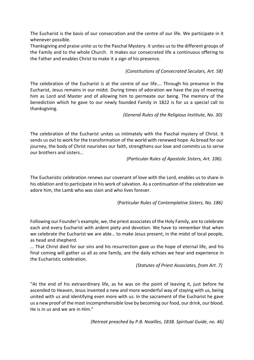The Eucharist is the basis of our consecration and the centre of our life. We participate in it whenever possible.

Thanksgiving and praise unite us to the Paschal Mystery. It unites us to the different groups of the Family and to the whole Church. It makes our consecrated life a continuous offering to the Father and enables Christ to make it a sign of his presence.

# *(Constitutions of Consecrated Seculars, Art. 58)*

The celebration of the Eucharist is at the centre of our life…. Through his presence in the Eucharist, Jesus remains in our midst. During times of adoration we have the joy of meeting him as Lord and Master and of allowing him to permeate our being. The memory of the benediction which he gave to our newly founded Family in 1822 is for us a special call to thanksgiving.

*(General Rules of the Religious Institute, No. 30)*

The celebration of the Eucharist unites us intimately with the Paschal mystery of Christ. It sends us out to work for the transformation of the world with renewed hope. As bread for our journey, the body of Christ nourishes our faith, strengthens our love and commits us to serve our brothers and sisters…

 *(Particular Rules of Apostolic Sisters, Art. 106).*

The Eucharistic celebration renews our covenant of love with the Lord, enables us to share in his oblation and to participate in his work of salvation. As a continuation of the celebration we adore him, the Lamb who was slain and who lives forever.

(P*articular Rules of Contemplative Sisters, No. 186)*

Following our Founder's example, we, the priest associates of the Holy Family, are to celebrate each and every Eucharist with ardent piety and devotion. We have to remember that when we celebrate the Eucharist we are able… to make Jesus present, in the midst of local people, as head and shepherd.

… That Christ died for our sins and his resurrection gave us the hope of eternal life, and his final coming will gather us all as one family, are the daily echoes we hear and experience in the Eucharistic celebration.

*(Statutes of Priest Associates, from Art. 7)*

"At the end of his extraordinary life, as he was on the point of leaving it, just before he ascended to Heaven, Jesus invented a new and more wonderful way of staying with us, being united with us and identifying even more with us. In the sacrament of the Eucharist he gave us a new proof of the most incomprehensible love by becoming our food, our drink, our blood. He is in us and we are in Him."

*(Retreat preached by P.B. Noailles, 1838. Spiritual Guide, no. 46)*